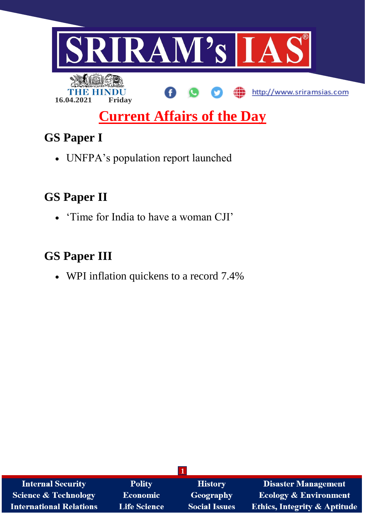

# **Current Affairs of the Day**

# **GS Paper I**

UNFPA's population report launched

## **GS Paper II**

'Time for India to have a woman CJI'

# **GS Paper III**

WPI inflation quickens to a record 7.4%

| <b>Internal Security</b>       | <b>Polity</b>       | <b>History</b>       | <b>Disaster Management</b>              |  |  |  |
|--------------------------------|---------------------|----------------------|-----------------------------------------|--|--|--|
| Science & Technology           | <b>Economic</b>     | Geography            | <b>Ecology &amp; Environment</b>        |  |  |  |
| <b>International Relations</b> | <b>Life Science</b> | <b>Social Issues</b> | <b>Ethics, Integrity &amp; Aptitude</b> |  |  |  |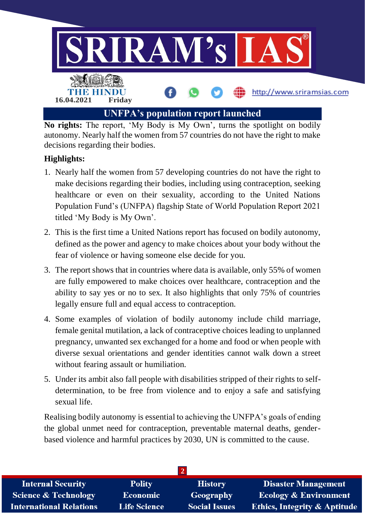

**No rights:** The report, 'My Body is My Own', turns the spotlight on bodily autonomy. Nearly half the women from 57 countries do not have the right to make decisions regarding their bodies.

### **Highlights:**

- 1. Nearly half the women from 57 developing countries do not have the right to make decisions regarding their bodies, including using contraception, seeking healthcare or even on their sexuality, according to the United Nations Population Fund's (UNFPA) flagship State of World Population Report 2021 titled 'My Body is My Own'.
- 2. This is the first time a United Nations report has focused on bodily autonomy, defined as the power and agency to make choices about your body without the fear of violence or having someone else decide for you.
- 3. The report shows that in countries where data is available, only 55% of women are fully empowered to make choices over healthcare, contraception and the ability to say yes or no to sex. It also highlights that only 75% of countries legally ensure full and equal access to contraception.
- 4. Some examples of violation of bodily autonomy include child marriage, female genital mutilation, a lack of contraceptive choices leading to unplanned pregnancy, unwanted sex exchanged for a home and food or when people with diverse sexual orientations and gender identities cannot walk down a street without fearing assault or humiliation.
- 5. Under its ambit also fall people with disabilities stripped of their rights to selfdetermination, to be free from violence and to enjoy a safe and satisfying sexual life.

Realising bodily autonomy is essential to achieving the UNFPA's goals of ending the global unmet need for contraception, preventable maternal deaths, genderbased violence and harmful practices by 2030, UN is committed to the cause.

| <b>Internal Security</b>       | <b>Polity</b>       | <b>History</b>       | Disaster Management                     |  |  |
|--------------------------------|---------------------|----------------------|-----------------------------------------|--|--|
| Science & Technology           | <b>Economic</b>     | Geography            | <b>Ecology &amp; Environment</b>        |  |  |
| <b>International Relations</b> | <b>Life Science</b> | <b>Social Issues</b> | <b>Ethics, Integrity &amp; Aptitude</b> |  |  |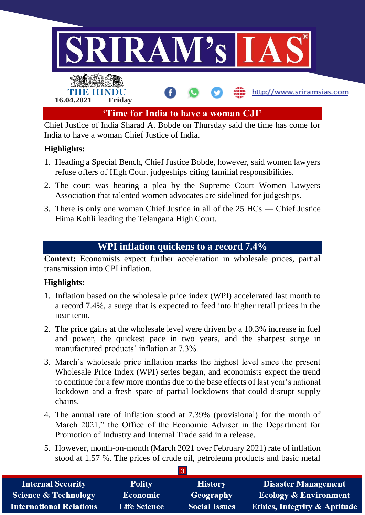

Chief Justice of India Sharad A. Bobde on Thursday said the time has come for India to have a woman Chief Justice of India.

### **Highlights:**

- 1. Heading a Special Bench, Chief Justice Bobde, however, said women lawyers refuse offers of High Court judgeships citing familial responsibilities.
- 2. The court was hearing a plea by the Supreme Court Women Lawyers Association that talented women advocates are sidelined for judgeships.
- 3. There is only one woman Chief Justice in all of the 25 HCs Chief Justice Hima Kohli leading the Telangana High Court.

### **WPI inflation quickens to a record 7.4%**

**Context:** Economists expect further acceleration in wholesale prices, partial transmission into CPI inflation.

### **Highlights:**

- 1. Inflation based on the wholesale price index (WPI) accelerated last month to a record 7.4%, a surge that is expected to feed into higher retail prices in the near term.
- 2. The price gains at the wholesale level were driven by a 10.3% increase in fuel and power, the quickest pace in two years, and the sharpest surge in manufactured products' inflation at 7.3%.
- 3. March's wholesale price inflation marks the highest level since the present Wholesale Price Index (WPI) series began, and economists expect the trend to continue for a few more months due to the base effects of last year's national lockdown and a fresh spate of partial lockdowns that could disrupt supply chains.
- 4. The annual rate of inflation stood at 7.39% (provisional) for the month of March 2021," the Office of the Economic Adviser in the Department for Promotion of Industry and Internal Trade said in a release.
- 5. However, month-on-month (March 2021 over February 2021) rate of inflation stood at 1.57 %. The prices of crude oil, petroleum products and basic metal

| <b>Internal Security</b>        | <b>Polity</b>       | <b>History</b>       | <b>Disaster Management</b>              |  |  |  |
|---------------------------------|---------------------|----------------------|-----------------------------------------|--|--|--|
| <b>Science &amp; Technology</b> | <b>Economic</b>     | <b>Geography</b>     | <b>Ecology &amp; Environment</b>        |  |  |  |
| <b>International Relations</b>  | <b>Life Science</b> | <b>Social Issues</b> | <b>Ethics, Integrity &amp; Aptitude</b> |  |  |  |